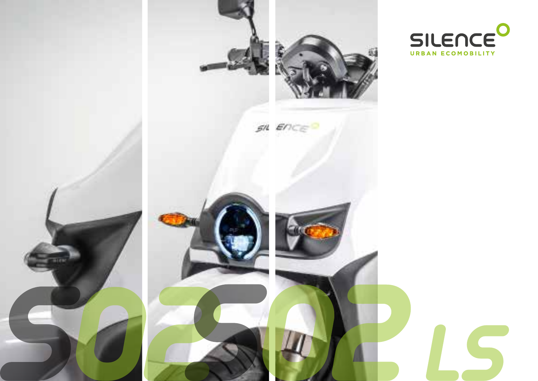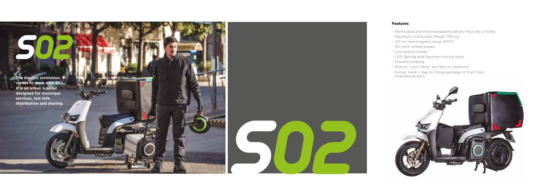#### **Features**

- > Removable and interchangeable battery Pack like a trolley
- > Maximum Authorized Weight 330 kg
- > 127 km homologated range WMTC
- > 90 km/h limited speed
- > Low gravity center
- > LED lighting and Daytime running lights
- > Powerful braking
- > Robust, "cool riding" and lack of vibrations
- > Extras: Hook + bag for fixing packages in front floor,





**comes to work with S02. It is an urban scooter designed for municipal services, last mile** 

**distribution and sharing.**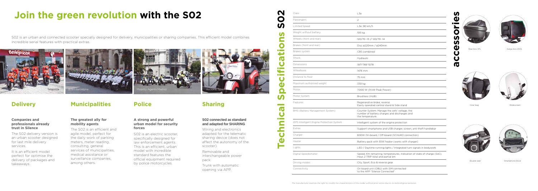# **Join the green revolution with the S02**

S02 is an urban and connected scooter specially designed for delivery, municipalities or sharing companies. This efficient model combines incredible serial features with practical extras.

#### **Companies and professionals already trust in Silence**

The S02 delivery version is an urban scooter designed for last mile delivery services.

It is an efficient model perfect for optimise the delivery of packages and takeaways.

#### **The greatest ally for mobility agents**

The S02 is an efficient and agile model, perfect for the daily work of parking meters, meter reading, consulting, general services of municipalities. medical assistance or surveillance companies, among others.

#### **A strong and powerful urban model for security forces**

S02 is an electric scooter, specifically designed for law enforcement agents. This is an efficient, urban model with incredible standard features the official equipment required by police motorcycles.

#### **S02 connected as standard and adapted for SHARING**

Wiring and electronics adapted for the telematic sharing device (does not affect the autonomy of the scooter)

Removable and interchangeable power pack.

Trunk with automatic opening via APP.

## **Delivery Municipalities Police Sharing**

Inner bag

Double seat

Cargo box 200L





Widescreen



Smartphone Dock



| Class                                     | L3e                                                                                                                |
|-------------------------------------------|--------------------------------------------------------------------------------------------------------------------|
| Passengers                                | 2                                                                                                                  |
| <b>Limited Speed</b>                      | L3e: 90 km/h                                                                                                       |
| Weight without battery                    | 105 kg                                                                                                             |
| Wheels (front and rear)                   | 120/70 -13 // 120/70 -14                                                                                           |
| Brakes (front and rear)                   | Disc ø220mm / ø240mm                                                                                               |
| Brakes system                             | CBS combined                                                                                                       |
| Shock                                     | Hydraulic                                                                                                          |
| Dimensions                                | 1971*766*1078                                                                                                      |
| Wheelbase                                 | 1476 mm                                                                                                            |
| Distance to floor                         | 75 mm                                                                                                              |
| Maximum authorised weight                 | 330 kg                                                                                                             |
| Motor                                     | 7.000 W (9 kW Peak Power)                                                                                          |
| Motor System                              | Brushless (HUB)                                                                                                    |
| Features                                  | Regenerative brake, reverse.<br>Easily operated central stand & Side stand                                         |
| BMS (Battery Management System)           | Counter System: Manage the cells' voltage, the<br>number of battery charges and discharges and<br>the temperature. |
| IEPS Intelligent Engine Protection System | Intelligent system of the engine protection                                                                        |
| Extras                                    | Support smartphone and USB charger, screen, anti-theft handlebar                                                   |
| Charger                                   | 600W On-board / Off-board (SCHUKO connection)                                                                      |
| Heater                                    | Battery pack with 55W heater (works with charger)                                                                  |
| Lights                                    | LED / Daytime running lights / Integrated turn signals in bodywork                                                 |
| Digital Speedometer                       | Speed, Km remaining, temperatures, indication of state of charge (SoC),<br>Hour, 2 TRIP total and partial km       |
| Driving modes                             | City, Sport, Eco & reverse gear.                                                                                   |
| Connectivity                              | On board unit (OBU) with SIM connected<br>to the APP "Silence Connected"                                           |



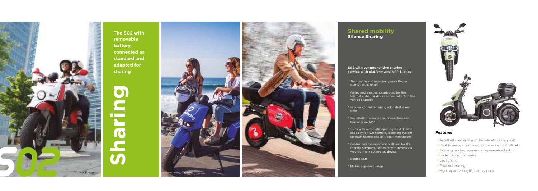#### **Features**

- > Anti-theft mechanism of the helmets (on request)
- > Double seat and suitcase with capacity for 2 helmets
- > 3 driving modes, reverse and regenerative braking
- > Under center of masses
- > Led lighting
- > Powerful braking
- > High capacity, long life battery pack

**Sharing**



**The S02 with removable battery, connected as standard and adapted for sharing**

#### S02 with comprehensive sharing service with platform and APP Silence

### **Shared mobility Silence Sharing**

- \* Removable and interchangeable Power Battery Pack (PBP)
- \* Wiring and electronics adapted for the telematic sharing device (does not affect the vehicle's range)
- \* Scooter connected and geolocated in real time.
- \* Registration, reservation, connection and blocking via APP
- \* Trunk with automatic opening via APP with capacity for two helmets, fastening system for each helmet and anti-theft mechanism
- \* Control and management platform for the sharing company. Software with access via web from any connected device.
- \* Double seat
- \* 127 km approved range





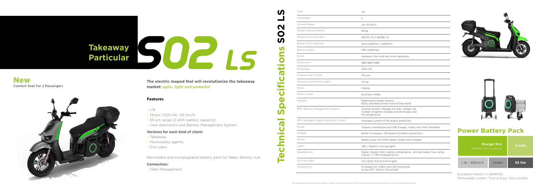#### **Features**

- > L1e
- > Motor 1.500 kW -45 Km/h
- > 55 km range (2 kWh battery capacity)
- > Own electronics and Battery Management System

#### **Versions for each kind of client:**

- > Takeaway
- > Municipality agents
- > End users

Removable and exchangeable battery pack for fleets. Battery hub

#### **Connection:**

> Fleet Management

## **Power Battery Pack**

| <b>Range Km</b><br>Battery Pack usability |       | 2 kWh |
|-------------------------------------------|-------|-------|
| $Lle - 45Km/h$                            | Urban | 55 Km |

European Patent nº 2848456 Removable system "Fast & Easy" like a trolley

**The electric moped that will revolutionize the takeaway market: agile, light and powerful**

# **Takeaway** SUE IS **Particular**

| Class                                     | L1e                                                                                                                |
|-------------------------------------------|--------------------------------------------------------------------------------------------------------------------|
| Passengers                                | 2                                                                                                                  |
| <b>Limited Speed</b>                      | L1e: 45 km/h                                                                                                       |
| Weight without battery                    | 89 kg                                                                                                              |
| Wheels (front and rear)                   | 120/70 -13 // 120/80 -12                                                                                           |
| Brakes (front and rear)                   | Disco ø220mm / ø240mm                                                                                              |
| Brakes system                             | CBS combined                                                                                                       |
| Shock                                     | Hydraulic front and rear shock absorbers                                                                           |
| Dimensions                                | 1960*800*1080                                                                                                      |
| Wheelbase                                 | 1440 mm                                                                                                            |
| Distance seat to floor                    | 170 mm                                                                                                             |
| Maximum authorised weight                 | 175 kg                                                                                                             |
| Motor                                     | 1.500W                                                                                                             |
| Motor System                              | Brushless (HUB)                                                                                                    |
| Features                                  | Regenerative brake, reverse.<br>Easily operated central stand & Side stand                                         |
| BMS (Battery Management System)           | Counter System: Manage the cells' voltage, the<br>number of battery charges and discharges and<br>the temperature. |
| IEPS Intelligent Engine Protection System | Intelligent system of the engine protection                                                                        |
| Extras                                    | Support smartphone and USB charger, screen, anti-theft handlebar                                                   |
| Charger                                   | 600W On-board / Off-board (SCHUKO connection)                                                                      |
| Heater                                    | Battery pack with 55W heater (works with charger)                                                                  |
| Lights                                    | LED / Daytime running lights                                                                                       |
| Speedometer                               | Digital: Speed, (SoC), battery temperature, driving modes, hour, remai-<br>ning km, 2 TRIP total/partial km        |
| Driving modes                             | City, Sport, Eco & reverse gear.                                                                                   |
| Connectivity                              | On board unit (OBU) with SIM connected<br>to the APP "Silence Connected"                                           |





### Comfort Seat For 2 Passengers New

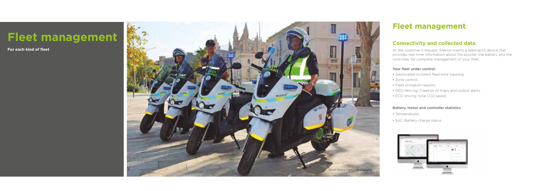**For each kind of fleet**

# **Fleet management**

At the customer's request, Silence inserts a telematics device that provides real-time information about the scooter, the battery and the controller, for complete management of your fleet.

#### Your fleet under control:



- Geolocated scooters Real-time tracking.
- Zone control.
- Fleet utilisation reports.
- GEO-fencing. Creation of maps and output alerts.
- ECO driving: total CO2 saved.

#### Battery, motor and controller statistics

- Temperatures
- SoC: Battery charge status



### **Connectivity and collected data**

## **Fleet management**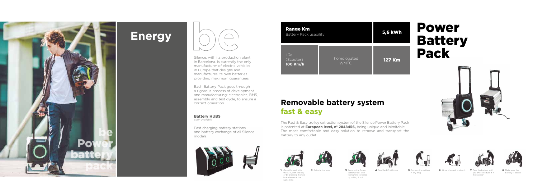# **Energy**





## **Removable battery system fast & easy**

Silence, with its production plant in Barcelona, is currently the only manufacturer of electric vehicles in Europe that designs and manufactures its own batteries providing maximum guarantees.

Each Battery Pack goes through a rigorous process of development and manufacturing: electronics, BMS, assembly and test cycle, to ensure a correct operation.

**Battery HUBS** *Soon available*

Fast charging battery stations and battery exchange of all Silence models







**3** Remove the Power Battery Pack with the handle collected by pulling it out.





5 Connect the battery in any plug



1 Open the seat with 2 Actuate the lever 3 Remove the Power 4 Take the BP with you 5 Connect the battery 6 Once charged, unplug it 7 Take the battery with 8 Make sure the



The Fast & Easy trolley extraction system of the Silence Power Battery Pack is patented at **European level, nº 2848456,** being unique and inimitable. The most comfortable and easy solution to remove and transport the battery to any outlet.



| <b>Range Km</b><br><b>Battery Pack usability</b> |                            | <b>5,6 kWh</b> |  |
|--------------------------------------------------|----------------------------|----------------|--|
| L3e<br>(Scooter)<br>100 Km/h                     | homologated<br><b>WMTC</b> | <b>127 Km</b>  |  |

# Power Battery Pack



the APP, with the key or by pressing the two brake levers at the same time

battery is secure





Take the battery with you and introduce it in the scooter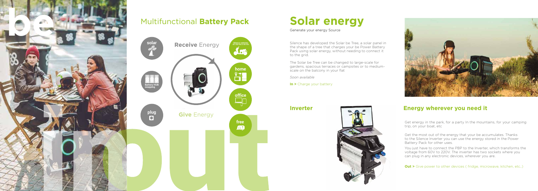Silence has developed the Solar be Tree, a solar panel in the shape of a tree that charges your be Power Battery Pack using solar energy, without needing to connect it to the grid.

The Solar be Tree can be changed to large-scale for gardens, spacious terraces or campsites or to mediumscale on the balcony in your flat

*Soon available*

**In >** Charge your battery



## **Energy wherever you need it**

Get energy in the park, for a party In the mountains, for your camping trip, on your boat, etc



# **Multifunctional Battery Pack Solar energy**

Get the most out of the energy that your be accumulates. Thanks to the Silence Inverter you can use the energy stored in the Power Battery Pack for other uses.

![](_page_7_Picture_2.jpeg)

You just have to connect the PBP to the Inverter, which transforms the voltage from 60V to 220V. The inverter has two sockets where you can plug in any electronic devices, wherever you are.

**Out >** Give power to other devices (fridge, microwave, kitchen, etc..)

### **Inverter**

![](_page_7_Picture_11.jpeg)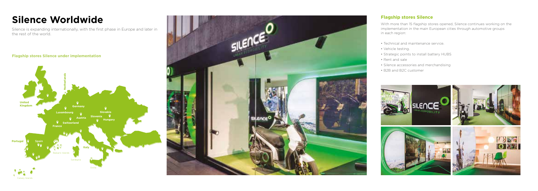#### **Flagship stores Silence under implementation**

![](_page_8_Picture_4.jpeg)

With more than 15 flagship stores opened, Silence continues working on the implementation in the main European cities through automotive groups in each region:

Silence is expanding internationally, with the first phase in Europe and later in the rest of the world.

- Technical and maintenance service.
- Vehicle testing.
- Strategic points to install battery HUBS
- Rent and sale
- Silence accessories and merchandising
- B2B and B2C customer

![](_page_8_Picture_13.jpeg)

![](_page_8_Figure_3.jpeg)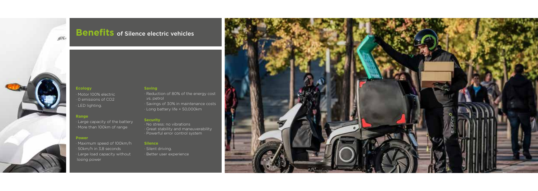![](_page_9_Picture_0.jpeg)

## **Benefits** of Silence electric vehicles

### **Ecology**

· Motor 100% electric

- · 0 emissions of CO2
- · LED lighting.

#### **Range**

· Large capacity of the battery · More than 100km of range

#### **Power**

- · Maximum speed of 100km/h
- · 50km/h in 3,8 seconds
- · Large load capacity without losing power

#### **Saving**

- · Reduction of 80% of the energy cost .vs. petrol
- · Savings of 30% in maintenance costs
- · Long battery life + 50,000km

### **Security**

- · No stress: no vibrations
- · Great stability and maneuverability
- · Powerful error control system

#### **Silence**

- · Silent driving.
- · Better user experience

![](_page_9_Picture_23.jpeg)